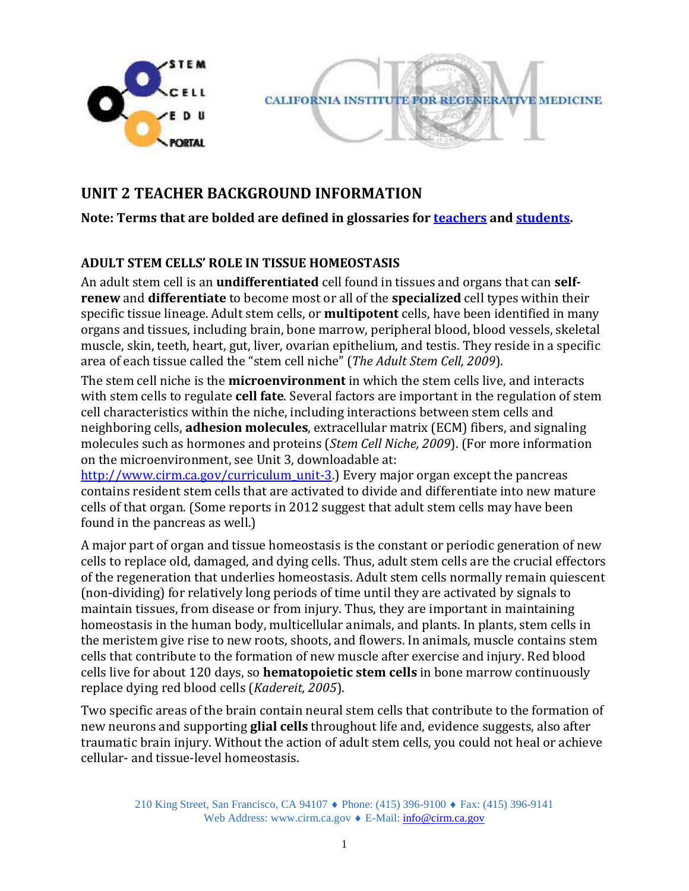



# **UNIT 2 TEACHER BACKGROUND INFORMATION**

#### **Note: Terms that are bolded are defined in glossaries for [teachers](http://www.cirm.ca.gov/sites/default/files/files/about_stemcells/Unit_2_Glossary_Teacher.pdf) and [students.](http://www.cirm.ca.gov/sites/default/files/files/about_stemcells/Unit_2_Glossary_Student.pdf)**

# **ADULT STEM CELLS' ROLE IN TISSUE HOMEOSTASIS**

An adult stem cell is an **undifferentiated** cell found in tissues and organs that can **selfrenew** and **differentiate** to become most or all of the **specialized** cell types within their specific tissue lineage. Adult stem cells, or **multipotent** cells, have been identified in many organs and tissues, including brain, bone marrow, peripheral blood, blood vessels, skeletal muscle, skin, teeth, heart, gut, liver, ovarian epithelium, and testis. They reside in a specific area of each tissue called the "stem cell niche" (*The Adult Stem Cell, 2009*).

The stem cell niche is the **microenvironment** in which the stem cells live, and interacts with stem cells to regulate **cell fate**. Several factors are important in the regulation of stem cell characteristics within the niche, including interactions between stem cells and neighboring cells, **adhesion molecules**, extracellular matrix (ECM) fibers, and signaling molecules such as hormones and proteins (*Stem Cell Niche, 2009*). (For more information on the microenvironment, see Unit 3, downloadable at:

[http://www.cirm.ca.gov/curriculum\\_unit-3.\)](http://www.cirm.ca.gov/curriculum_unit-3) Every major organ except the pancreas contains resident stem cells that are activated to divide and differentiate into new mature cells of that organ. (Some reports in 2012 suggest that adult stem cells may have been found in the pancreas as well.)

A major part of organ and tissue homeostasis is the constant or periodic generation of new cells to replace old, damaged, and dying cells. Thus, adult stem cells are the crucial effectors of the regeneration that underlies homeostasis. Adult stem cells normally remain quiescent (non-dividing) for relatively long periods of time until they are activated by signals to maintain tissues, from disease or from injury. Thus, they are important in maintaining homeostasis in the human body, multicellular animals, and plants. In plants, stem cells in the meristem give rise to new roots, shoots, and flowers. In animals, muscle contains stem cells that contribute to the formation of new muscle after exercise and injury. Red blood cells live for about 120 days, so **hematopoietic stem cells** in bone marrow continuously replace dying red blood cells (*Kadereit, 2005*).

Two specific areas of the brain contain neural stem cells that contribute to the formation of new neurons and supporting **glial cells** throughout life and, evidence suggests, also after traumatic brain injury. Without the action of adult stem cells, you could not heal or achieve cellular- and tissue-level homeostasis.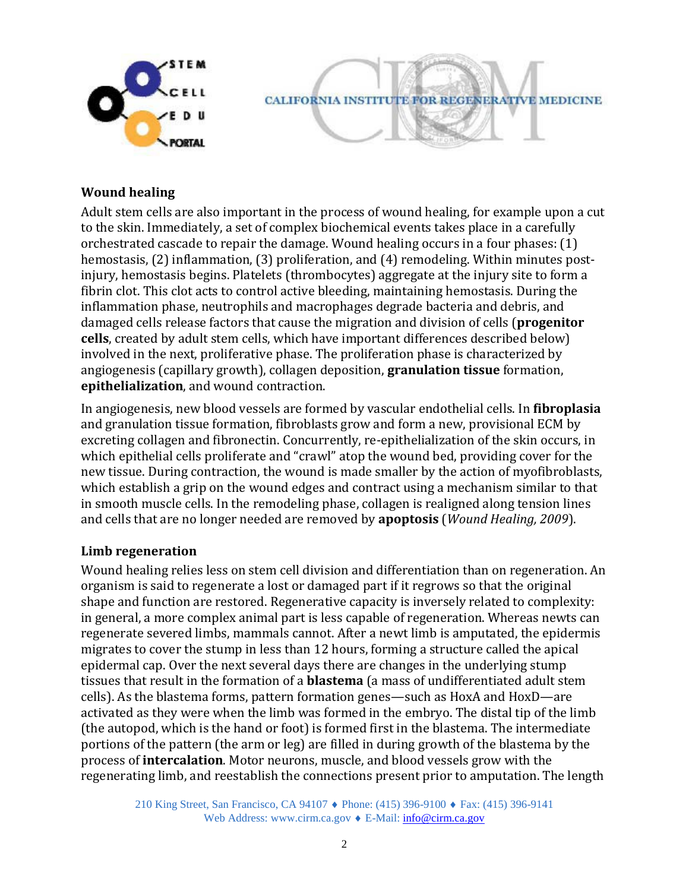

### **Wound healing**

Adult stem cells are also important in the process of wound healing, for example upon a cut to the skin. Immediately, a set of complex biochemical events takes place in a carefully orchestrated cascade to repair the damage. Wound healing occurs in a four phases: (1) hemostasis, (2) inflammation, (3) proliferation, and (4) remodeling. Within minutes postinjury, hemostasis begins. Platelets (thrombocytes) aggregate at the injury site to form a fibrin clot. This clot acts to control active bleeding, maintaining hemostasis. During the inflammation phase, neutrophils and macrophages degrade bacteria and debris, and damaged cells release factors that cause the migration and division of cells (**progenitor cells**, created by adult stem cells, which have important differences described below) involved in the next, proliferative phase. The proliferation phase is characterized by angiogenesis (capillary growth), collagen deposition, **granulation tissue** formation, **epithelialization**, and wound contraction.

In angiogenesis, new blood vessels are formed by vascular endothelial cells. In **fibroplasia**  and granulation tissue formation, fibroblasts grow and form a new, provisional ECM by excreting collagen and fibronectin. Concurrently, re-epithelialization of the skin occurs, in which epithelial cells proliferate and "crawl" atop the wound bed, providing cover for the new tissue. During contraction, the wound is made smaller by the action of myofibroblasts, which establish a grip on the wound edges and contract using a mechanism similar to that in smooth muscle cells. In the remodeling phase, collagen is realigned along tension lines and cells that are no longer needed are removed by **apoptosis** (*Wound Healing, 2009*).

### **Limb regeneration**

Wound healing relies less on stem cell division and differentiation than on regeneration. An organism is said to regenerate a lost or damaged part if it regrows so that the original shape and function are restored. Regenerative capacity is inversely related to complexity: in general, a more complex animal part is less capable of regeneration. Whereas newts can regenerate severed limbs, mammals cannot. After a newt limb is amputated, the epidermis migrates to cover the stump in less than 12 hours, forming a structure called the apical epidermal cap. Over the next several days there are changes in the underlying stump tissues that result in the formation of a **blastema** (a mass of undifferentiated adult stem cells). As the blastema forms, pattern formation genes—such as HoxA and HoxD—are activated as they were when the limb was formed in the embryo. The distal tip of the limb (the autopod, which is the hand or foot) is formed first in the blastema. The intermediate portions of the pattern (the arm or leg) are filled in during growth of the blastema by the process of **intercalation**. Motor neurons, muscle, and blood vessels grow with the regenerating limb, and reestablish the connections present prior to amputation. The length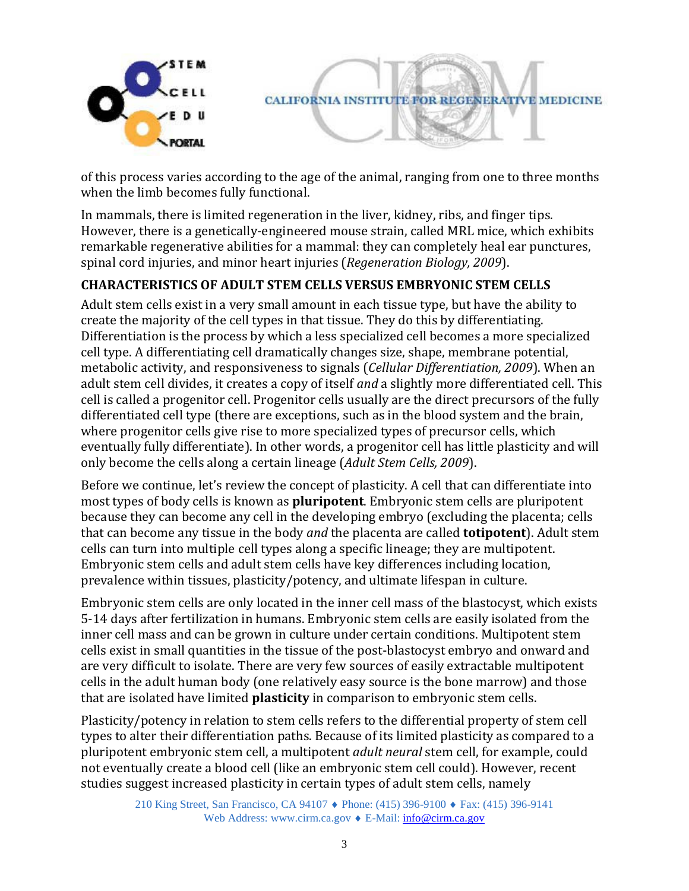

of this process varies according to the age of the animal, ranging from one to three months when the limb becomes fully functional.

In mammals, there is limited regeneration in the liver, kidney, ribs, and finger tips. However, there is a genetically-engineered mouse strain, called MRL mice, which exhibits remarkable regenerative abilities for a mammal: they can completely heal ear punctures, spinal cord injuries, and minor heart injuries (*Regeneration Biology, 2009*).

# **CHARACTERISTICS OF ADULT STEM CELLS VERSUS EMBRYONIC STEM CELLS**

Adult stem cells exist in a very small amount in each tissue type, but have the ability to create the majority of the cell types in that tissue. They do this by differentiating. Differentiation is the process by which a less specialized cell becomes a more specialized cell type. A differentiating cell dramatically changes size, shape, membrane potential, metabolic activity, and responsiveness to signals (*Cellular Differentiation, 2009*). When an adult stem cell divides, it creates a copy of itself *and* a slightly more differentiated cell. This cell is called a progenitor cell. Progenitor cells usually are the direct precursors of the fully differentiated cell type (there are exceptions, such as in the blood system and the brain, where progenitor cells give rise to more specialized types of precursor cells, which eventually fully differentiate). In other words, a progenitor cell has little plasticity and will only become the cells along a certain lineage (*Adult Stem Cells, 2009*).

Before we continue, let's review the concept of plasticity. A cell that can differentiate into most types of body cells is known as **pluripotent**. Embryonic stem cells are pluripotent because they can become any cell in the developing embryo (excluding the placenta; cells that can become any tissue in the body *and* the placenta are called **totipotent**). Adult stem cells can turn into multiple cell types along a specific lineage; they are multipotent. Embryonic stem cells and adult stem cells have key differences including location, prevalence within tissues, plasticity/potency, and ultimate lifespan in culture.

Embryonic stem cells are only located in the inner cell mass of the blastocyst, which exists 5-14 days after fertilization in humans. Embryonic stem cells are easily isolated from the inner cell mass and can be grown in culture under certain conditions. Multipotent stem cells exist in small quantities in the tissue of the post-blastocyst embryo and onward and are very difficult to isolate. There are very few sources of easily extractable multipotent cells in the adult human body (one relatively easy source is the bone marrow) and those that are isolated have limited **plasticity** in comparison to embryonic stem cells.

Plasticity/potency in relation to stem cells refers to the differential property of stem cell types to alter their differentiation paths. Because of its limited plasticity as compared to a pluripotent embryonic stem cell, a multipotent *adult neural* stem cell, for example, could not eventually create a blood cell (like an embryonic stem cell could). However, recent studies suggest increased plasticity in certain types of adult stem cells, namely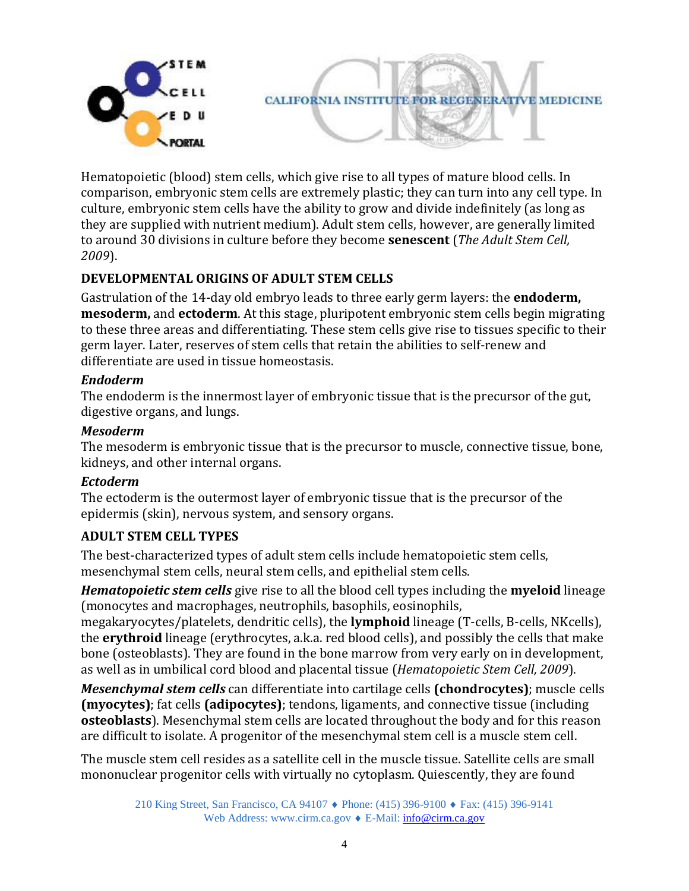

Hematopoietic (blood) stem cells, which give rise to all types of mature blood cells. In comparison, embryonic stem cells are extremely plastic; they can turn into any cell type. In culture, embryonic stem cells have the ability to grow and divide indefinitely (as long as they are supplied with nutrient medium). Adult stem cells, however, are generally limited to around 30 divisions in culture before they become **senescent** (*The Adult Stem Cell, 2009*).

# **DEVELOPMENTAL ORIGINS OF ADULT STEM CELLS**

Gastrulation of the 14-day old embryo leads to three early germ layers: the **endoderm, mesoderm,** and **ectoderm**. At this stage, pluripotent embryonic stem cells begin migrating to these three areas and differentiating. These stem cells give rise to tissues specific to their germ layer. Later, reserves of stem cells that retain the abilities to self-renew and differentiate are used in tissue homeostasis.

#### *Endoderm*

The endoderm is the innermost layer of embryonic tissue that is the precursor of the gut, digestive organs, and lungs.

#### *Mesoderm*

The mesoderm is embryonic tissue that is the precursor to muscle, connective tissue, bone, kidneys, and other internal organs.

### *Ectoderm*

The ectoderm is the outermost layer of embryonic tissue that is the precursor of the epidermis (skin), nervous system, and sensory organs.

### **ADULT STEM CELL TYPES**

The best-characterized types of adult stem cells include hematopoietic stem cells, mesenchymal stem cells, neural stem cells, and epithelial stem cells.

*Hematopoietic stem cells* give rise to all the blood cell types including the **myeloid** lineage (monocytes and macrophages, neutrophils, basophils, eosinophils,

megakaryocytes/platelets, dendritic cells), the **lymphoid** lineage (T-cells, B-cells, NKcells), the **erythroid** lineage (erythrocytes, a.k.a. red blood cells), and possibly the cells that make bone (osteoblasts). They are found in the bone marrow from very early on in development, as well as in umbilical cord blood and placental tissue (*Hematopoietic Stem Cell, 2009*).

*Mesenchymal stem cells* can differentiate into cartilage cells **(chondrocytes)**; muscle cells **(myocytes)**; fat cells **(adipocytes)**; tendons, ligaments, and connective tissue (including **osteoblasts**). Mesenchymal stem cells are located throughout the body and for this reason are difficult to isolate. A progenitor of the mesenchymal stem cell is a muscle stem cell.

The muscle stem cell resides as a satellite cell in the muscle tissue. Satellite cells are small mononuclear progenitor cells with virtually no cytoplasm. Quiescently, they are found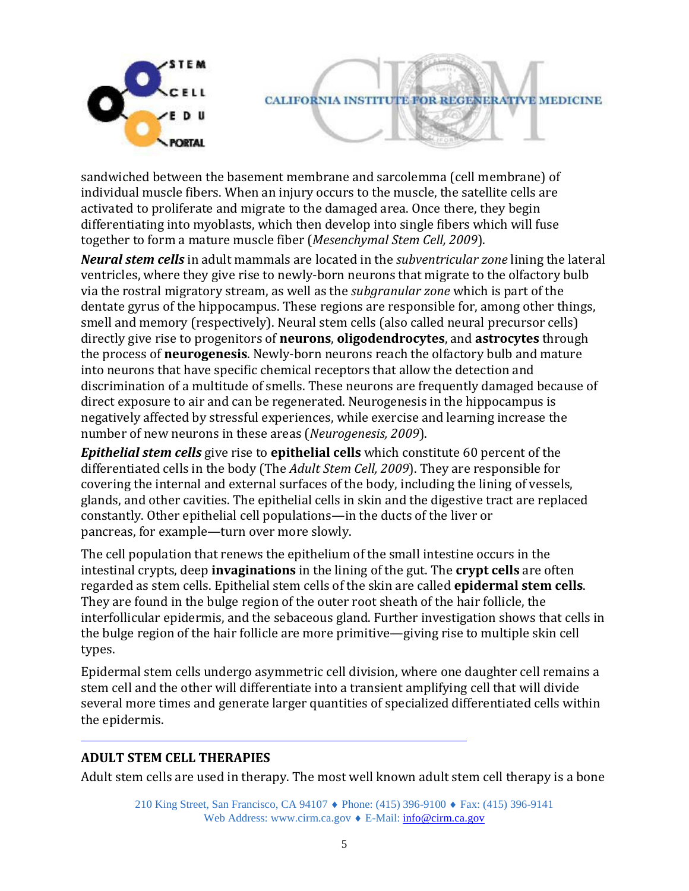

sandwiched between the basement membrane and sarcolemma (cell membrane) of individual muscle fibers. When an injury occurs to the muscle, the satellite cells are activated to proliferate and migrate to the damaged area. Once there, they begin differentiating into myoblasts, which then develop into single fibers which will fuse together to form a mature muscle fiber (*Mesenchymal Stem Cell, 2009*).

*Neural stem cells* in adult mammals are located in the *subventricular zone* lining the lateral ventricles, where they give rise to newly-born neurons that migrate to the olfactory bulb via the rostral migratory stream, as well as the *subgranular zone* which is part of the dentate gyrus of the hippocampus. These regions are responsible for, among other things, smell and memory (respectively). Neural stem cells (also called neural precursor cells) directly give rise to progenitors of **neurons**, **oligodendrocytes**, and **astrocytes** through the process of **neurogenesis**. Newly-born neurons reach the olfactory bulb and mature into neurons that have specific chemical receptors that allow the detection and discrimination of a multitude of smells. These neurons are frequently damaged because of direct exposure to air and can be regenerated. Neurogenesis in the hippocampus is negatively affected by stressful experiences, while exercise and learning increase the number of new neurons in these areas (*Neurogenesis, 2009*).

*Epithelial stem cells* give rise to **epithelial cells** which constitute 60 percent of the differentiated cells in the body (The *Adult Stem Cell, 2009*). They are responsible for covering the internal and external surfaces of the body, including the lining of vessels, glands, and other cavities. The epithelial cells in skin and the digestive tract are replaced constantly. Other epithelial cell populations—in the ducts of the liver or pancreas, for example—turn over more slowly.

The cell population that renews the epithelium of the small intestine occurs in the intestinal crypts, deep **invaginations** in the lining of the gut. The **crypt cells** are often regarded as stem cells. Epithelial stem cells of the skin are called **epidermal stem cells**. They are found in the bulge region of the outer root sheath of the hair follicle, the interfollicular epidermis, and the sebaceous gland. Further investigation shows that cells in the bulge region of the hair follicle are more primitive—giving rise to multiple skin cell types.

Epidermal stem cells undergo asymmetric cell division, where one daughter cell remains a stem cell and the other will differentiate into a transient amplifying cell that will divide several more times and generate larger quantities of specialized differentiated cells within the epidermis.

### **ADULT STEM CELL THERAPIES**

Adult stem cells are used in therapy. The most well known adult stem cell therapy is a bone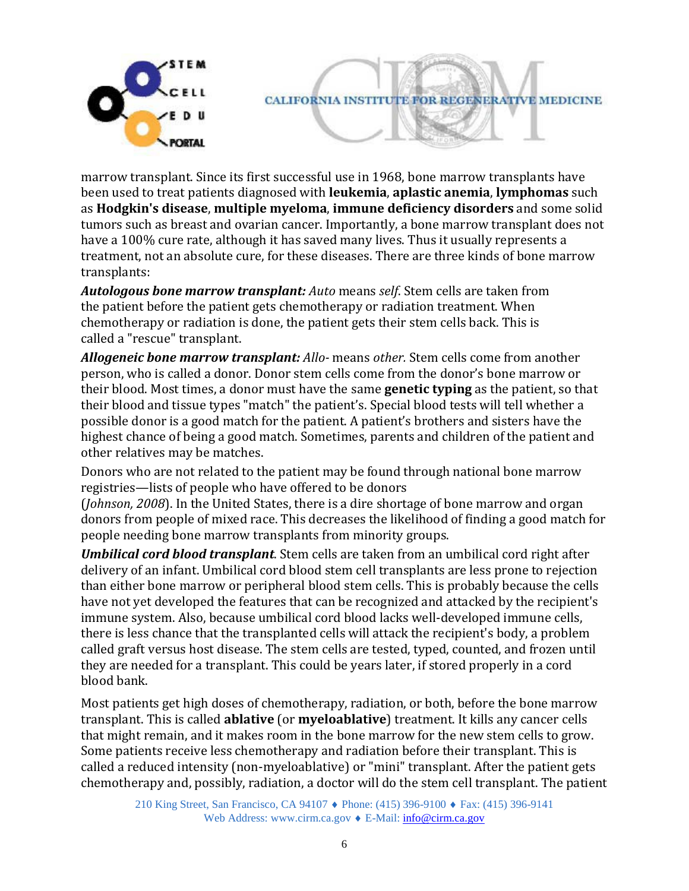

marrow transplant. Since its first successful use in 1968, bone marrow transplants have been used to treat patients diagnosed with **leukemia**, **aplastic anemia**, **lymphomas** such as **Hodgkin's disease**, **multiple myeloma**, **immune deficiency disorders** and some solid tumors such as breast and ovarian cancer. Importantly, a bone marrow transplant does not have a 100% cure rate, although it has saved many lives. Thus it usually represents a treatment, not an absolute cure, for these diseases. There are three kinds of bone marrow transplants:

*Autologous bone marrow transplant: Auto* means *self*. Stem cells are taken from the patient before the patient gets chemotherapy or radiation treatment. When chemotherapy or radiation is done, the patient gets their stem cells back. This is called a "rescue" transplant.

*Allogeneic bone marrow transplant: Allo-* means *other.* Stem cells come from another person, who is called a donor. Donor stem cells come from the donor's bone marrow or their blood. Most times, a donor must have the same **genetic typing** as the patient, so that their blood and tissue types "match" the patient's. Special blood tests will tell whether a possible donor is a good match for the patient. A patient's brothers and sisters have the highest chance of being a good match. Sometimes, parents and children of the patient and other relatives may be matches.

Donors who are not related to the patient may be found through national bone marrow registries—lists of people who have offered to be donors

(*Johnson, 2008*). In the United States, there is a dire shortage of bone marrow and organ donors from people of mixed race. This decreases the likelihood of finding a good match for people needing bone marrow transplants from minority groups.

*Umbilical cord blood transplant*. Stem cells are taken from an umbilical cord right after delivery of an infant. Umbilical cord blood stem cell transplants are less prone to rejection than either bone marrow or peripheral blood stem cells. This is probably because the cells have not yet developed the features that can be recognized and attacked by the recipient's immune system. Also, because umbilical cord blood lacks well-developed immune cells, there is less chance that the transplanted cells will attack the recipient's body, a problem called graft versus host disease. The stem cells are tested, typed, counted, and frozen until they are needed for a transplant. This could be years later, if stored properly in a cord blood bank.

Most patients get high doses of chemotherapy, radiation, or both, before the bone marrow transplant. This is called **ablative** (or **myeloablative**) treatment. It kills any cancer cells that might remain, and it makes room in the bone marrow for the new stem cells to grow. Some patients receive less chemotherapy and radiation before their transplant. This is called a reduced intensity (non-myeloablative) or "mini" transplant. After the patient gets chemotherapy and, possibly, radiation, a doctor will do the stem cell transplant. The patient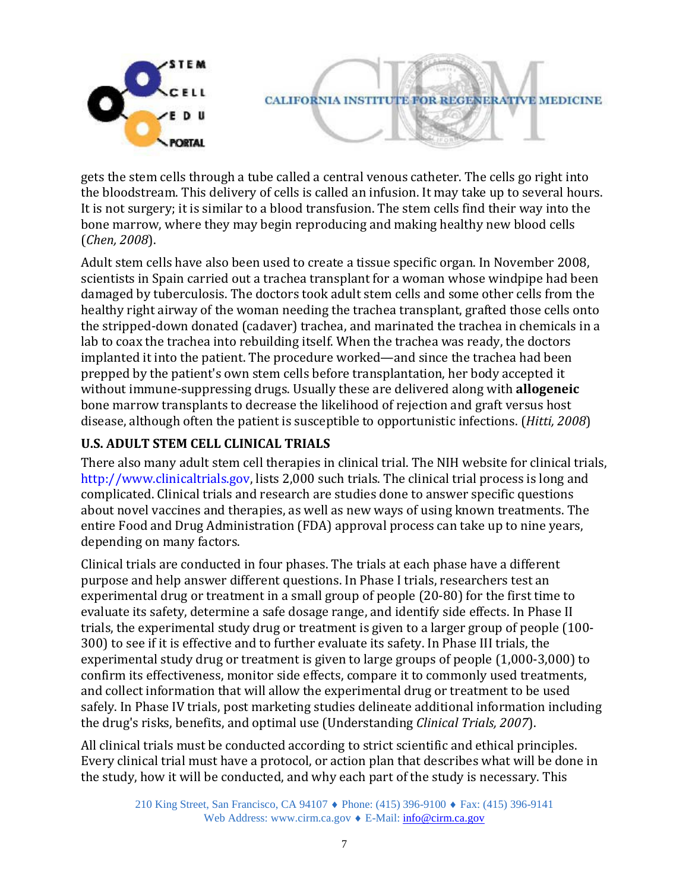

gets the stem cells through a tube called a central venous catheter. The cells go right into the bloodstream. This delivery of cells is called an infusion. It may take up to several hours. It is not surgery; it is similar to a blood transfusion. The stem cells find their way into the bone marrow, where they may begin reproducing and making healthy new blood cells (*Chen, 2008*).

Adult stem cells have also been used to create a tissue specific organ. In November 2008, scientists in Spain carried out a trachea transplant for a woman whose windpipe had been damaged by tuberculosis. The doctors took adult stem cells and some other cells from the healthy right airway of the woman needing the trachea transplant, grafted those cells onto the stripped-down donated (cadaver) trachea, and marinated the trachea in chemicals in a lab to coax the trachea into rebuilding itself. When the trachea was ready, the doctors implanted it into the patient. The procedure worked—and since the trachea had been prepped by the patient's own stem cells before transplantation, her body accepted it without immune-suppressing drugs. Usually these are delivered along with **allogeneic**  bone marrow transplants to decrease the likelihood of rejection and graft versus host disease, although often the patient is susceptible to opportunistic infections. (*Hitti, 2008*)

# **U.S. ADULT STEM CELL CLINICAL TRIALS**

There also many adult stem cell therapies in clinical trial. The NIH website for clinical trials, http://www.clinicaltrials.gov, lists 2,000 such trials. The clinical trial process is long and complicated. Clinical trials and research are studies done to answer specific questions about novel vaccines and therapies, as well as new ways of using known treatments. The entire Food and Drug Administration (FDA) approval process can take up to nine years, depending on many factors.

Clinical trials are conducted in four phases. The trials at each phase have a different purpose and help answer different questions. In Phase I trials, researchers test an experimental drug or treatment in a small group of people (20-80) for the first time to evaluate its safety, determine a safe dosage range, and identify side effects. In Phase II trials, the experimental study drug or treatment is given to a larger group of people (100- 300) to see if it is effective and to further evaluate its safety. In Phase III trials, the experimental study drug or treatment is given to large groups of people (1,000-3,000) to confirm its effectiveness, monitor side effects, compare it to commonly used treatments, and collect information that will allow the experimental drug or treatment to be used safely. In Phase IV trials, post marketing studies delineate additional information including the drug's risks, benefits, and optimal use (Understanding *Clinical Trials, 2007*).

All clinical trials must be conducted according to strict scientific and ethical principles. Every clinical trial must have a protocol, or action plan that describes what will be done in the study, how it will be conducted, and why each part of the study is necessary. This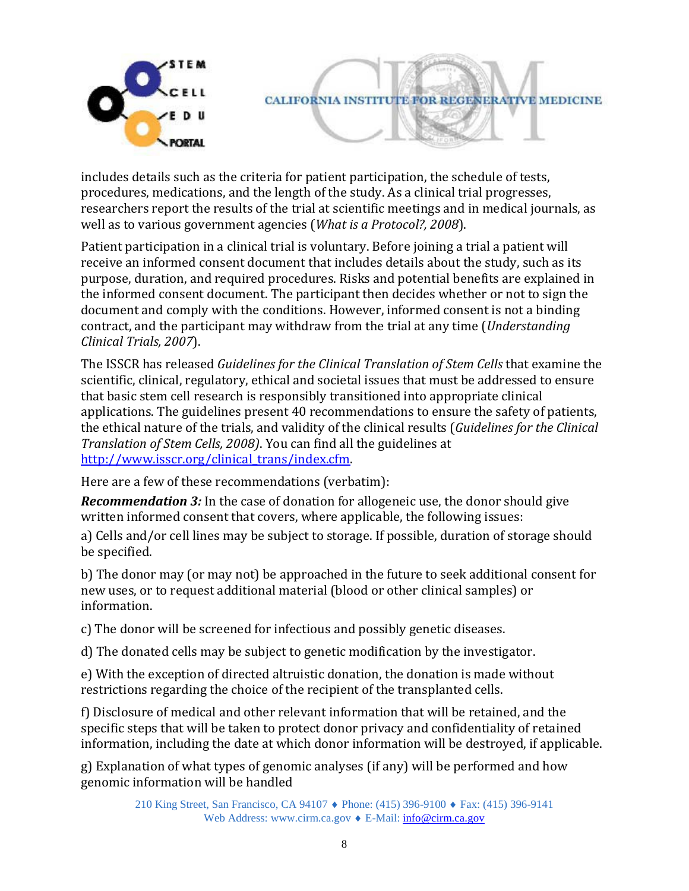

includes details such as the criteria for patient participation, the schedule of tests, procedures, medications, and the length of the study. As a clinical trial progresses, researchers report the results of the trial at scientific meetings and in medical journals, as well as to various government agencies (*What is a Protocol?, 2008*).

Patient participation in a clinical trial is voluntary. Before joining a trial a patient will receive an informed consent document that includes details about the study, such as its purpose, duration, and required procedures. Risks and potential benefits are explained in the informed consent document. The participant then decides whether or not to sign the document and comply with the conditions. However, informed consent is not a binding contract, and the participant may withdraw from the trial at any time (*Understanding Clinical Trials, 2007*).

The ISSCR has released *Guidelines for the Clinical Translation of Stem Cells* that examine the scientific, clinical, regulatory, ethical and societal issues that must be addressed to ensure that basic stem cell research is responsibly transitioned into appropriate clinical applications. The guidelines present 40 recommendations to ensure the safety of patients, the ethical nature of the trials, and validity of the clinical results (*Guidelines for the Clinical Translation of Stem Cells, 2008)*. You can find all the guidelines at [http://www.isscr.org/clinical\\_trans/index.cfm.](http://www.isscr.org/home/publications/ClinTransGuide)

Here are a few of these recommendations (verbatim):

*Recommendation 3:* In the case of donation for allogeneic use, the donor should give written informed consent that covers, where applicable, the following issues:

a) Cells and/or cell lines may be subject to storage. If possible, duration of storage should be specified.

b) The donor may (or may not) be approached in the future to seek additional consent for new uses, or to request additional material (blood or other clinical samples) or information.

c) The donor will be screened for infectious and possibly genetic diseases.

d) The donated cells may be subject to genetic modification by the investigator.

e) With the exception of directed altruistic donation, the donation is made without restrictions regarding the choice of the recipient of the transplanted cells.

f) Disclosure of medical and other relevant information that will be retained, and the specific steps that will be taken to protect donor privacy and confidentiality of retained information, including the date at which donor information will be destroyed, if applicable.

g) Explanation of what types of genomic analyses (if any) will be performed and how genomic information will be handled

> 210 King Street, San Francisco, CA 94107 ♦ Phone: (415) 396-9100 ♦ Fax: (415) 396-9141 Web Address: www.cirm.ca.gov ♦ E-Mail: [info@cirm.ca.gov](mailto:info@cirm.ca.gov)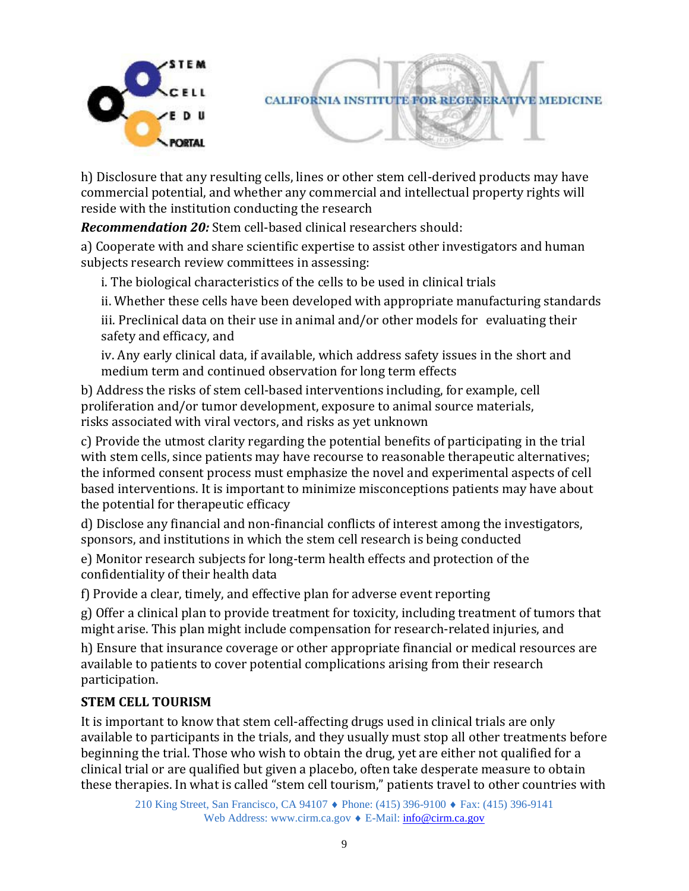



h) Disclosure that any resulting cells, lines or other stem cell-derived products may have commercial potential, and whether any commercial and intellectual property rights will reside with the institution conducting the research

*Recommendation 20:* Stem cell-based clinical researchers should:

a) Cooperate with and share scientific expertise to assist other investigators and human subjects research review committees in assessing:

i. The biological characteristics of the cells to be used in clinical trials

ii. Whether these cells have been developed with appropriate manufacturing standards

iii. Preclinical data on their use in animal and/or other models for evaluating their safety and efficacy, and

iv. Any early clinical data, if available, which address safety issues in the short and medium term and continued observation for long term effects

b) Address the risks of stem cell-based interventions including, for example, cell proliferation and/or tumor development, exposure to animal source materials, risks associated with viral vectors, and risks as yet unknown

c) Provide the utmost clarity regarding the potential benefits of participating in the trial with stem cells, since patients may have recourse to reasonable therapeutic alternatives; the informed consent process must emphasize the novel and experimental aspects of cell based interventions. It is important to minimize misconceptions patients may have about the potential for therapeutic efficacy

d) Disclose any financial and non-financial conflicts of interest among the investigators, sponsors, and institutions in which the stem cell research is being conducted

e) Monitor research subjects for long-term health effects and protection of the confidentiality of their health data

f) Provide a clear, timely, and effective plan for adverse event reporting

g) Offer a clinical plan to provide treatment for toxicity, including treatment of tumors that might arise. This plan might include compensation for research-related injuries, and

h) Ensure that insurance coverage or other appropriate financial or medical resources are available to patients to cover potential complications arising from their research participation.

# **STEM CELL TOURISM**

It is important to know that stem cell-affecting drugs used in clinical trials are only available to participants in the trials, and they usually must stop all other treatments before beginning the trial. Those who wish to obtain the drug, yet are either not qualified for a clinical trial or are qualified but given a placebo, often take desperate measure to obtain these therapies. In what is called "stem cell tourism," patients travel to other countries with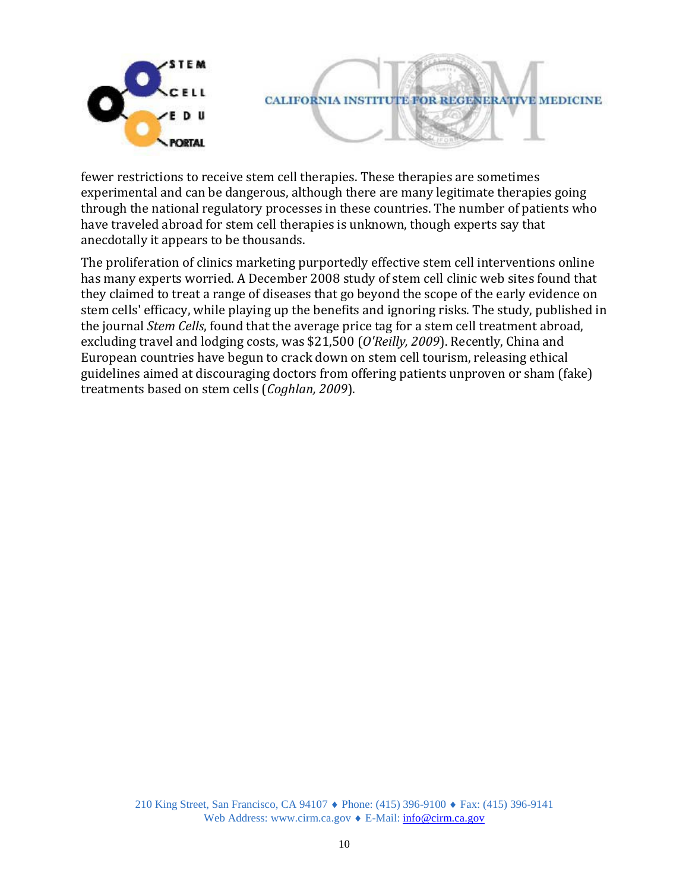

fewer restrictions to receive stem cell therapies. These therapies are sometimes experimental and can be dangerous, although there are many legitimate therapies going through the national regulatory processes in these countries. The number of patients who have traveled abroad for stem cell therapies is unknown, though experts say that anecdotally it appears to be thousands.

The proliferation of clinics marketing purportedly effective stem cell interventions online has many experts worried. A December 2008 study of stem cell clinic web sites found that they claimed to treat a range of diseases that go beyond the scope of the early evidence on stem cells' efficacy, while playing up the benefits and ignoring risks. The study, published in the journal *Stem Cells*, found that the average price tag for a stem cell treatment abroad, excluding travel and lodging costs, was \$21,500 (*O'Reilly, 2009*). Recently, China and European countries have begun to crack down on stem cell tourism, releasing ethical guidelines aimed at discouraging doctors from offering patients unproven or sham (fake) treatments based on stem cells (*Coghlan, 2009*).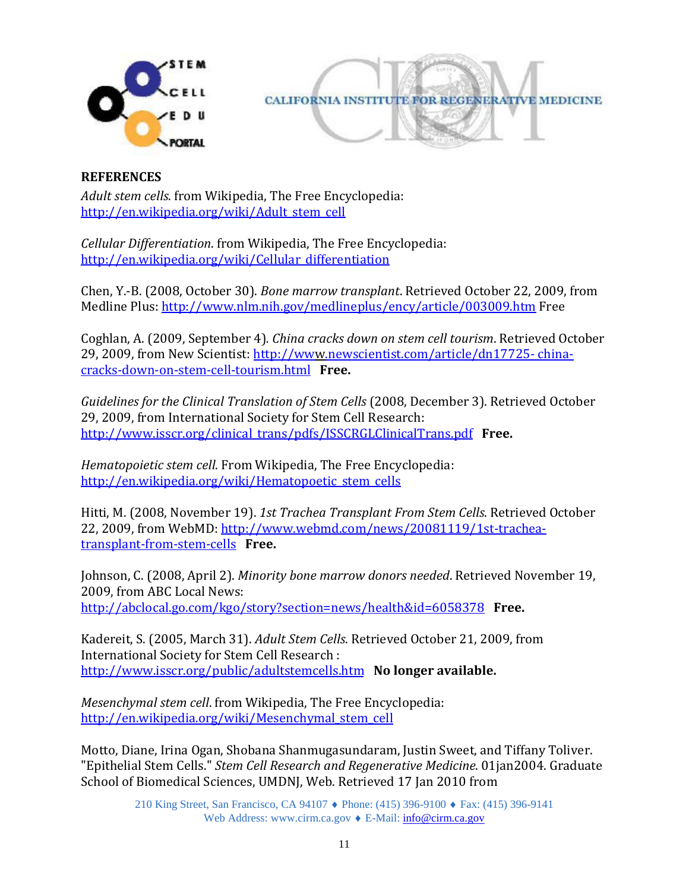



#### **REFERENCES**

*Adult stem cells*. from Wikipedia, The Free Encyclopedia: [http://en.wikipedia.org/wiki/Adult\\_stem\\_cell](http://en.wikipedia.org/wiki/Adult_stem_cell)

*Cellular Differentiation*. from Wikipedia, The Free Encyclopedia: [http://en.wikipedia.org/wiki/Cellular\\_differentiation](http://en.wikipedia.org/wiki/Cellular_differentiation)

Chen, Y.-B. (2008, October 30). *Bone marrow transplant*. Retrieved October 22, 2009, from Medline Plus[: http://www.nlm.nih.gov/medlineplus/ency/article/003009.htm](http://www.nlm.nih.gov/medlineplus/ency/article/003009.htm) Free

Coghlan, A. (2009, September 4)*. China cracks down on stem cell tourism*. Retrieved October 29, 2009, from New Scientist: [http://www.newscientist.com/article/dn17725- china](http://www.newscientist.com/article/dn17725-china-cracks-down-on-stem-cell-tourism.html#.VLShZSvF9lo)[cracks-down-on-stem-cell-tourism.html](http://www.newscientist.com/article/dn17725-%20china-cracks-down-on-stem-cell-tourism.html) **Free.**

*Guidelines for the Clinical Translation of Stem Cells* (2008, December 3). Retrieved October 29, 2009, from International Society for Stem Cell Research: [http://www.isscr.org/clinical\\_trans/pdfs/ISSCRGLClinicalTrans.pdf](http://www.isscr.org/home/publications/ClinTransGuide) **Free.**

*Hematopoietic stem cell*. From Wikipedia, The Free Encyclopedia: [http://en.wikipedia.org/wiki/Hematopoetic\\_stem\\_cells](http://en.wikipedia.org/wiki/Hematopoetic_stem_cells)

Hitti, M. (2008, November 19). *1st Trachea Transplant From Stem Cells*. Retrieved October 22, 2009, from WebMD: [http://www.webmd.com/news/20081119/1st-trachea](http://www.webmd.com/news/20081119/1st-trachea-transplant-from-stem-cells)[transplant-from-stem-cells](http://www.webmd.com/news/20081119/1st-trachea-transplant-from-stem-cells) **Free.**

Johnson, C. (2008, April 2). *Minority bone marrow donors needed*. Retrieved November 19, 2009, from ABC Local News: <http://abclocal.go.com/kgo/story?section=news/health&id=6058378>**Free.**

Kadereit, S. (2005, March 31). *Adult Stem Cells*. Retrieved October 21, 2009, from International Society for Stem Cell Research : <http://www.isscr.org/public/adultstemcells.htm>**No longer available.**

*Mesenchymal stem cell*. from Wikipedia, The Free Encyclopedia: [http://en.wikipedia.org/wiki/Mesenchymal\\_stem\\_cell](http://en.wikipedia.org/wiki/Mesenchymal_stem_cell)

Motto, Diane, Irina Ogan, Shobana Shanmugasundaram, Justin Sweet, and Tiffany Toliver. "Epithelial Stem Cells." *Stem Cell Research and Regenerative Medicine*. 01jan2004. Graduate School of Biomedical Sciences, UMDNJ, Web. Retrieved 17 Jan 2010 from

> 210 King Street, San Francisco, CA 94107 ♦ Phone: (415) 396-9100 ♦ Fax: (415) 396-9141 Web Address: www.cirm.ca.gov ♦ E-Mail: [info@cirm.ca.gov](mailto:info@cirm.ca.gov)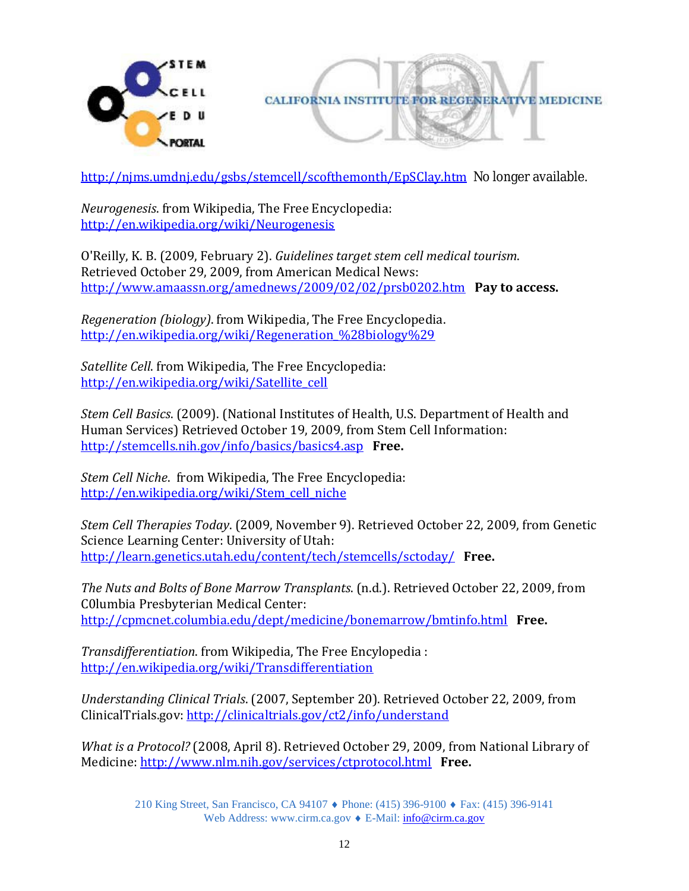



<http://njms.umdnj.edu/gsbs/stemcell/scofthemonth/EpSClay.htm>No longer available.

*Neurogenesis*. from Wikipedia, The Free Encyclopedia: <http://en.wikipedia.org/wiki/Neurogenesis>

O'Reilly, K. B. (2009, February 2). *Guidelines target stem cell medical tourism*. Retrieved October 29, 2009, from American Medical News: [http://www.amaassn.org/amednews/2009/02/02/prsb0202.htm](http://www.amednews.com/article/20090202/profession/302029975/6/) **Pay to access.**

*Regeneration (biology)*. from Wikipedia, The Free Encyclopedia. [http://en.wikipedia.org/wiki/Regeneration\\_%28biology%29](http://en.wikipedia.org/wiki/Regeneration_%28biology%29)

*Satellite Cell*. from Wikipedia, The Free Encyclopedia: [http://en.wikipedia.org/wiki/Satellite\\_cell](http://en.wikipedia.org/wiki/Satellite_cell)

*Stem Cell Basics*. (2009). (National Institutes of Health, U.S. Department of Health and Human Services) Retrieved October 19, 2009, from Stem Cell Information: <http://stemcells.nih.gov/info/basics/basics4.asp>**Free.**

*Stem Cell Niche*. from Wikipedia, The Free Encyclopedia: [http://en.wikipedia.org/wiki/Stem\\_cell\\_niche](http://en.wikipedia.org/wiki/Stem_cell_niche)

*Stem Cell Therapies Today*. (2009, November 9). Retrieved October 22, 2009, from Genetic Science Learning Center: University of Utah: <http://learn.genetics.utah.edu/content/tech/stemcells/sctoday/>**Free.**

*The Nuts and Bolts of Bone Marrow Transplants*. (n.d.). Retrieved October 22, 2009, from C0lumbia Presbyterian Medical Center: <http://cpmcnet.columbia.edu/dept/medicine/bonemarrow/bmtinfo.html>**Free.**

*Transdifferentiation*. from Wikipedia, The Free Encylopedia : <http://en.wikipedia.org/wiki/Transdifferentiation>

*Understanding Clinical Trials*. (2007, September 20). Retrieved October 22, 2009, from ClinicalTrials.gov:<http://clinicaltrials.gov/ct2/info/understand>

*What is a Protocol?* (2008, April 8). Retrieved October 29, 2009, from National Library of Medicine[: http://www.nlm.nih.gov/services/ctprotocol.html](http://www.nlm.nih.gov/services/ctprotocol.html) **Free.**